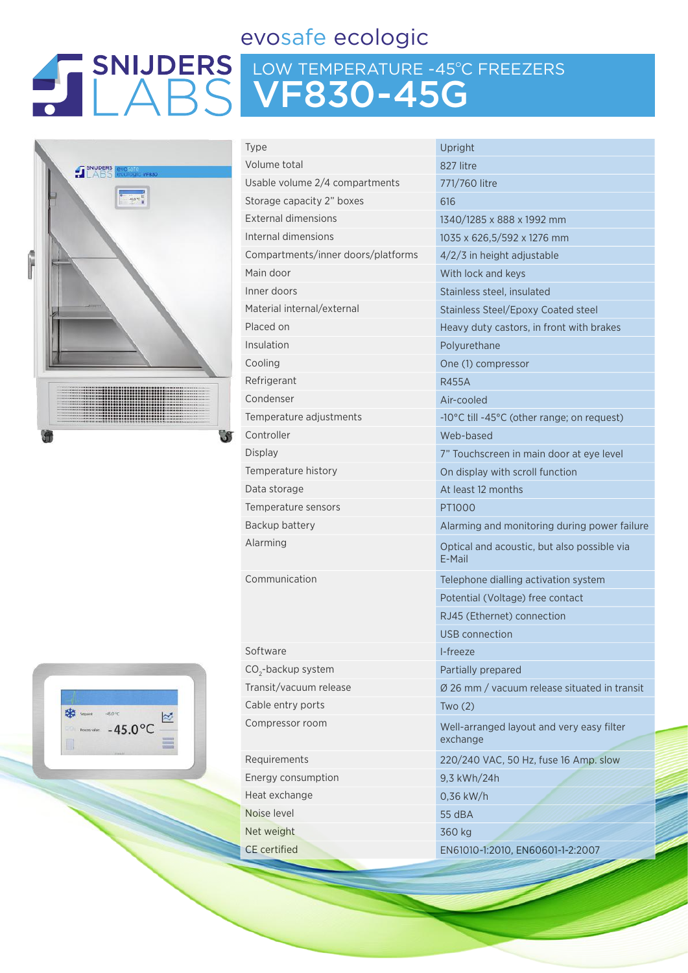### evosafe ecologic

# LOW TEMPERATURE -45ºC FREEZERS VF830-45G



|  | Setpont:       | $-45.0$ °C |                  |  |
|--|----------------|------------|------------------|--|
|  | Process waker: |            | $-45.0^{\circ}C$ |  |
|  |                |            |                  |  |

| Type                               | Upright                                               |
|------------------------------------|-------------------------------------------------------|
| Volume total                       | 827 litre                                             |
| Usable volume 2/4 compartments     | 771/760 litre                                         |
| Storage capacity 2" boxes          | 616                                                   |
| <b>External dimensions</b>         | 1340/1285 x 888 x 1992 mm                             |
| Internal dimensions                | 1035 x 626,5/592 x 1276 mm                            |
| Compartments/inner doors/platforms | 4/2/3 in height adjustable                            |
| Main door                          | With lock and keys                                    |
| Inner doors                        | Stainless steel, insulated                            |
| Material internal/external         | Stainless Steel/Epoxy Coated steel                    |
| Placed on                          | Heavy duty castors, in front with brakes              |
| Insulation                         | Polyurethane                                          |
| Cooling                            | One (1) compressor                                    |
| Refrigerant                        | <b>R455A</b>                                          |
| Condenser                          | Air-cooled                                            |
| Temperature adjustments            | -10°C till -45°C (other range; on request)            |
| Controller                         | Web-based                                             |
| <b>Display</b>                     | 7" Touchscreen in main door at eye level              |
| Temperature history                | On display with scroll function                       |
| Data storage                       | At least 12 months                                    |
| Temperature sensors                | PT1000                                                |
| Backup battery                     | Alarming and monitoring during power f                |
| Alarming                           | Optical and acoustic, but also possible vi<br>E-Mail  |
| Communication                      | Telephone dialling activation system                  |
|                                    | Potential (Voltage) free contact                      |
|                                    | RJ45 (Ethernet) connection                            |
|                                    | USB connection                                        |
| Software                           | I-freeze                                              |
| CO <sub>2</sub> -backup system     | Partially prepared                                    |
| Transit/vacuum release             | Ø 26 mm / vacuum release situated in tra              |
| Cable entry ports                  | Two(2)                                                |
| Compressor room                    | Well-arranged layout and very easy filter<br>exchange |
| Requirements                       | 220/240 VAC, 50 Hz, fuse 16 Amp. slow                 |
| Energy consumption                 | 9,3 kWh/24h                                           |
| Heat exchange                      | $0,36$ kW/h                                           |
| Noise level                        | 55 dBA                                                |
| Net weight                         | 360 kg                                                |
| <b>CE</b> certified                | EN61010-1:2010, EN60601-1-2:2007                      |

! x 1276 mm **Isulated** poxy Coated steel ors, in front with brakes onitoring during power failure stic, but also possible via g activation system e) free contact connection Im release situated in transit yout and very easy filter Hz, fuse 16 Amp. slow EN60601-1-2:2007